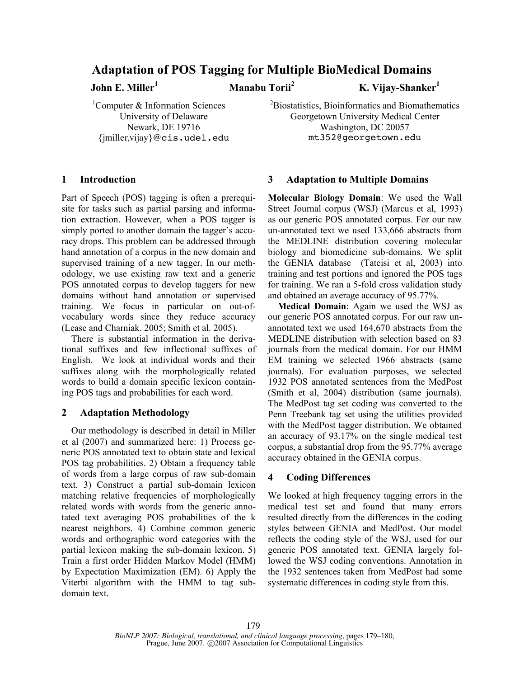# **Adaptation of POS Tagging for Multiple BioMedical Domains**

**John E. Miller**

**<sup>1</sup> Manabu Torii**

**<sup>2</sup> K. Vijay-Shanker 1**

<sup>1</sup>Computer & Information Sciences University of Delaware Newark, DE 19716 {jmiller,vijay}@cis.udel.edu <sup>2</sup>Biostatistics, Bioinformatics and Biomathematics Georgetown University Medical Center Washington, DC 20057 mt352@georgetown.edu

# **1 Introduction**

Part of Speech (POS) tagging is often a prerequisite for tasks such as partial parsing and information extraction. However, when a POS tagger is simply ported to another domain the tagger's accuracy drops. This problem can be addressed through hand annotation of a corpus in the new domain and supervised training of a new tagger. In our methodology, we use existing raw text and a generic POS annotated corpus to develop taggers for new domains without hand annotation or supervised training. We focus in particular on out-ofvocabulary words since they reduce accuracy (Lease and Charniak. 2005; Smith et al. 2005).

There is substantial information in the derivational suffixes and few inflectional suffixes of English. We look at individual words and their suffixes along with the morphologically related words to build a domain specific lexicon containing POS tags and probabilities for each word.

# **2 Adaptation Methodology**

Our methodology is described in detail in Miller et al (2007) and summarized here: 1) Process generic POS annotated text to obtain state and lexical POS tag probabilities. 2) Obtain a frequency table of words from a large corpus of raw sub-domain text. 3) Construct a partial sub-domain lexicon matching relative frequencies of morphologically related words with words from the generic annotated text averaging POS probabilities of the k nearest neighbors. 4) Combine common generic words and orthographic word categories with the partial lexicon making the sub-domain lexicon. 5) Train a first order Hidden Markov Model (HMM) by Expectation Maximization (EM). 6) Apply the Viterbi algorithm with the HMM to tag subdomain text.

# **3 Adaptation to Multiple Domains**

**Molecular Biology Domain**: We used the Wall Street Journal corpus (WSJ) (Marcus et al, 1993) as our generic POS annotated corpus. For our raw un-annotated text we used 133,666 abstracts from the MEDLINE distribution covering molecular biology and biomedicine sub-domains. We split the GENIA database (Tateisi et al, 2003) into training and test portions and ignored the POS tags for training. We ran a 5-fold cross validation study and obtained an average accuracy of 95.77%.

**Medical Domain**: Again we used the WSJ as our generic POS annotated corpus. For our raw unannotated text we used 164,670 abstracts from the MEDLINE distribution with selection based on 83 journals from the medical domain. For our HMM EM training we selected 1966 abstracts (same journals). For evaluation purposes, we selected 1932 POS annotated sentences from the MedPost (Smith et al, 2004) distribution (same journals). The MedPost tag set coding was converted to the Penn Treebank tag set using the utilities provided with the MedPost tagger distribution. We obtained an accuracy of 93.17% on the single medical test corpus, a substantial drop from the 95.77% average accuracy obtained in the GENIA corpus.

## **4 Coding Differences**

We looked at high frequency tagging errors in the medical test set and found that many errors resulted directly from the differences in the coding styles between GENIA and MedPost. Our model reflects the coding style of the WSJ, used for our generic POS annotated text. GENIA largely followed the WSJ coding conventions. Annotation in the 1932 sentences taken from MedPost had some systematic differences in coding style from this.